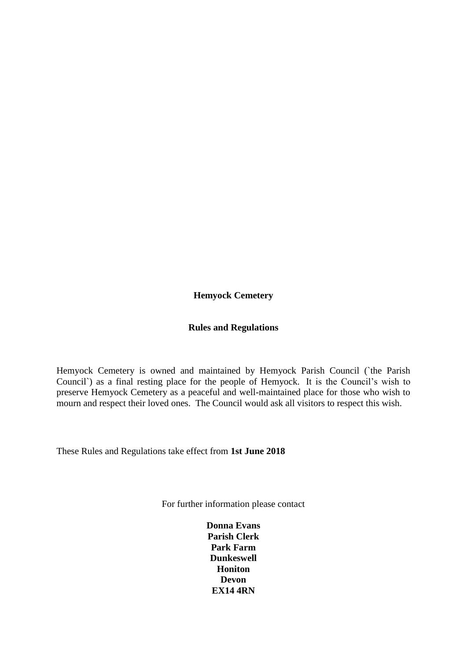**Hemyock Cemetery**

## **Rules and Regulations**

Hemyock Cemetery is owned and maintained by Hemyock Parish Council (`the Parish Council`) as a final resting place for the people of Hemyock. It is the Council's wish to preserve Hemyock Cemetery as a peaceful and well-maintained place for those who wish to mourn and respect their loved ones. The Council would ask all visitors to respect this wish.

These Rules and Regulations take effect from **1st June 2018**

For further information please contact

**Donna Evans Parish Clerk Park Farm Dunkeswell Honiton Devon EX14 4RN**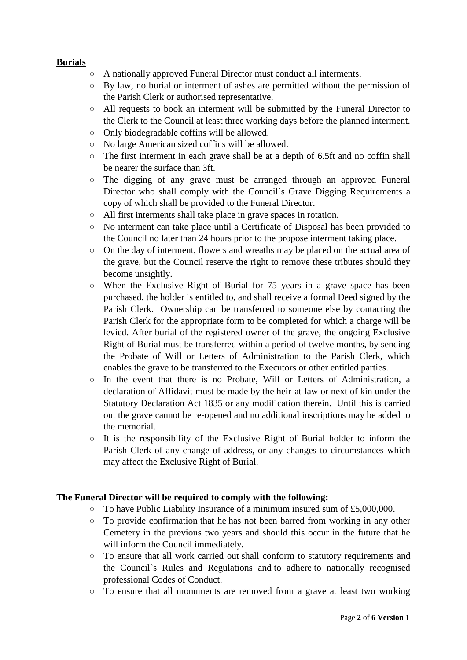# **Burials**

- A nationally approved Funeral Director must conduct all interments.
- By law, no burial or interment of ashes are permitted without the permission of the Parish Clerk or authorised representative.
- All requests to book an interment will be submitted by the Funeral Director to the Clerk to the Council at least three working days before the planned interment.
- Only biodegradable coffins will be allowed.
- No large American sized coffins will be allowed.
- The first interment in each grave shall be at a depth of 6.5ft and no coffin shall be nearer the surface than 3ft.
- The digging of any grave must be arranged through an approved Funeral Director who shall comply with the Council`s Grave Digging Requirements a copy of which shall be provided to the Funeral Director.
- All first interments shall take place in grave spaces in rotation.
- No interment can take place until a Certificate of Disposal has been provided to the Council no later than 24 hours prior to the propose interment taking place.
- On the day of interment, flowers and wreaths may be placed on the actual area of the grave, but the Council reserve the right to remove these tributes should they become unsightly.
- When the Exclusive Right of Burial for 75 years in a grave space has been purchased, the holder is entitled to, and shall receive a formal Deed signed by the Parish Clerk. Ownership can be transferred to someone else by contacting the Parish Clerk for the appropriate form to be completed for which a charge will be levied. After burial of the registered owner of the grave, the ongoing Exclusive Right of Burial must be transferred within a period of twelve months, by sending the Probate of Will or Letters of Administration to the Parish Clerk, which enables the grave to be transferred to the Executors or other entitled parties.
- In the event that there is no Probate, Will or Letters of Administration, a declaration of Affidavit must be made by the heir-at-law or next of kin under the Statutory Declaration Act 1835 or any modification therein. Until this is carried out the grave cannot be re-opened and no additional inscriptions may be added to the memorial.
- It is the responsibility of the Exclusive Right of Burial holder to inform the Parish Clerk of any change of address, or any changes to circumstances which may affect the Exclusive Right of Burial.

# **The Funeral Director will be required to comply with the following:**

- To have Public Liability Insurance of a minimum insured sum of £5,000,000.
- $\circ$  To provide confirmation that he has not been barred from working in any other Cemetery in the previous two years and should this occur in the future that he will inform the Council immediately.
- To ensure that all work carried out shall conform to statutory requirements and the Council`s Rules and Regulations and to adhere to nationally recognised professional Codes of Conduct.
- To ensure that all monuments are removed from a grave at least two working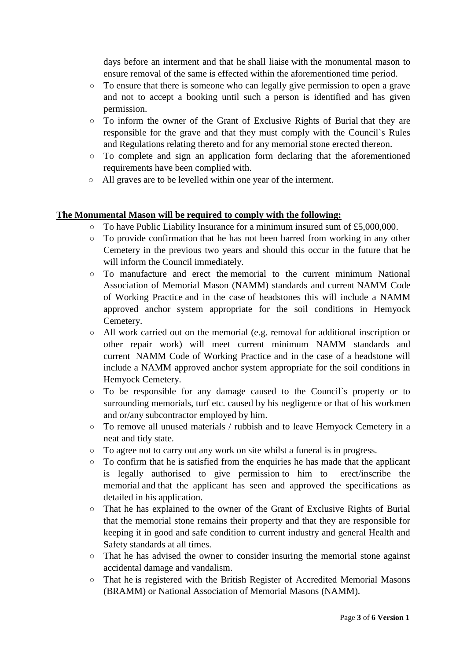days before an interment and that he shall liaise with the monumental mason to ensure removal of the same is effected within the aforementioned time period.

- To ensure that there is someone who can legally give permission to open a grave and not to accept a booking until such a person is identified and has given permission.
- To inform the owner of the Grant of Exclusive Rights of Burial that they are responsible for the grave and that they must comply with the Council`s Rules and Regulations relating thereto and for any memorial stone erected thereon.
- To complete and sign an application form declaring that the aforementioned requirements have been complied with.
- All graves are to be levelled within one year of the interment.

## **The Monumental Mason will be required to comply with the following:**

- To have Public Liability Insurance for a minimum insured sum of £5,000,000.
- $\circ$  To provide confirmation that he has not been barred from working in any other Cemetery in the previous two years and should this occur in the future that he will inform the Council immediately.
- $\circ$  To manufacture and erect the memorial to the current minimum National Association of Memorial Mason (NAMM) standards and current NAMM Code of Working Practice and in the case of headstones this will include a NAMM approved anchor system appropriate for the soil conditions in Hemyock Cemetery.
- All work carried out on the memorial (e.g. removal for additional inscription or other repair work) will meet current minimum NAMM standards and current NAMM Code of Working Practice and in the case of a headstone will include a NAMM approved anchor system appropriate for the soil conditions in Hemyock Cemetery.
- To be responsible for any damage caused to the Council`s property or to surrounding memorials, turf etc. caused by his negligence or that of his workmen and or/any subcontractor employed by him.
- $\circ$  To remove all unused materials / rubbish and to leave Hemyock Cemetery in a neat and tidy state.
- To agree not to carry out any work on site whilst a funeral is in progress.
- To confirm that he is satisfied from the enquiries he has made that the applicant is legally authorised to give permission to him to erect/inscribe the memorial and that the applicant has seen and approved the specifications as detailed in his application.
- That he has explained to the owner of the Grant of Exclusive Rights of Burial that the memorial stone remains their property and that they are responsible for keeping it in good and safe condition to current industry and general Health and Safety standards at all times.
- That he has advised the owner to consider insuring the memorial stone against accidental damage and vandalism.
- That he is registered with the British Register of Accredited Memorial Masons (BRAMM) or National Association of Memorial Masons (NAMM).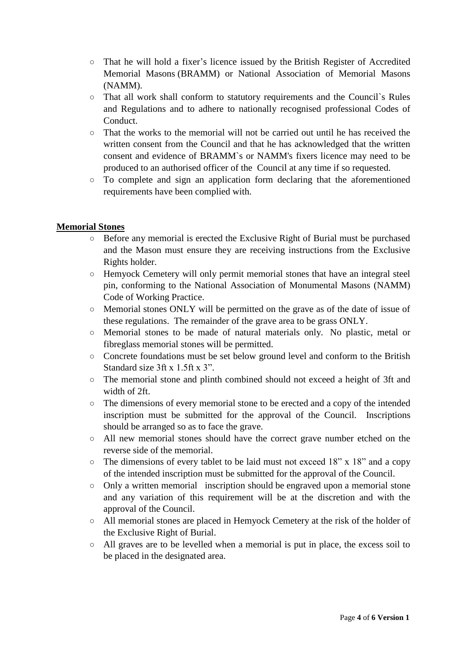- That he will hold a fixer's licence issued by the British Register of Accredited Memorial Masons (BRAMM) or National Association of Memorial Masons (NAMM).
- That all work shall conform to statutory requirements and the Council`s Rules and Regulations and to adhere to nationally recognised professional Codes of Conduct.
- That the works to the memorial will not be carried out until he has received the written consent from the Council and that he has acknowledged that the written consent and evidence of BRAMM`s or NAMM's fixers licence may need to be produced to an authorised officer of the Council at any time if so requested.
- To complete and sign an application form declaring that the aforementioned requirements have been complied with.

# **Memorial Stones**

- Before any memorial is erected the Exclusive Right of Burial must be purchased and the Mason must ensure they are receiving instructions from the Exclusive Rights holder.
- Hemyock Cemetery will only permit memorial stones that have an integral steel pin, conforming to the National Association of Monumental Masons (NAMM) Code of Working Practice.
- Memorial stones ONLY will be permitted on the grave as of the date of issue of these regulations. The remainder of the grave area to be grass ONLY.
- Memorial stones to be made of natural materials only. No plastic, metal or fibreglass memorial stones will be permitted.
- Concrete foundations must be set below ground level and conform to the British Standard size 3ft x 1.5ft x 3".
- The memorial stone and plinth combined should not exceed a height of 3ft and width of 2ft.
- The dimensions of every memorial stone to be erected and a copy of the intended inscription must be submitted for the approval of the Council. Inscriptions should be arranged so as to face the grave.
- All new memorial stones should have the correct grave number etched on the reverse side of the memorial.
- $\circ$  The dimensions of every tablet to be laid must not exceed 18" x 18" and a copy of the intended inscription must be submitted for the approval of the Council.
- Only a written memorial inscription should be engraved upon a memorial stone and any variation of this requirement will be at the discretion and with the approval of the Council.
- All memorial stones are placed in Hemyock Cemetery at the risk of the holder of the Exclusive Right of Burial.
- All graves are to be levelled when a memorial is put in place, the excess soil to be placed in the designated area.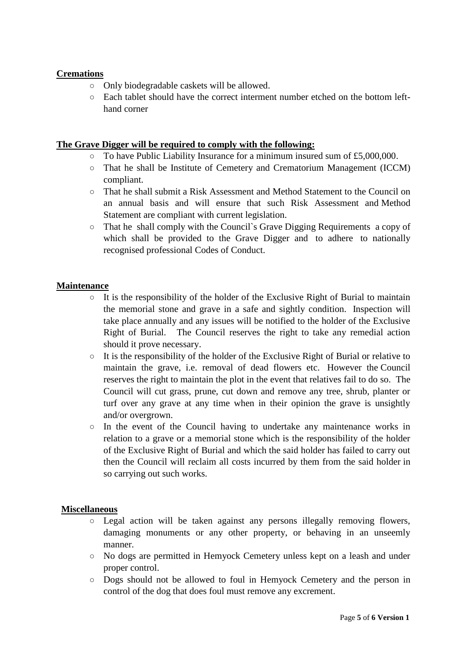## **Cremations**

- Only biodegradable caskets will be allowed.
- Each tablet should have the correct interment number etched on the bottom lefthand corner

## **The Grave Digger will be required to comply with the following:**

- To have Public Liability Insurance for a minimum insured sum of  $£5,000,000$ .
- That he shall be Institute of Cemetery and Crematorium Management (ICCM) compliant.
- That he shall submit a Risk Assessment and Method Statement to the Council on an annual basis and will ensure that such Risk Assessment and Method Statement are compliant with current legislation.
- That he shall comply with the Council`s Grave Digging Requirements a copy of which shall be provided to the Grave Digger and to adhere to nationally recognised professional Codes of Conduct.

## **Maintenance**

- $\circ$  It is the responsibility of the holder of the Exclusive Right of Burial to maintain the memorial stone and grave in a safe and sightly condition. Inspection will take place annually and any issues will be notified to the holder of the Exclusive Right of Burial. The Council reserves the right to take any remedial action should it prove necessary.
- $\circ$  It is the responsibility of the holder of the Exclusive Right of Burial or relative to maintain the grave, i.e. removal of dead flowers etc. However the Council reserves the right to maintain the plot in the event that relatives fail to do so. The Council will cut grass, prune, cut down and remove any tree, shrub, planter or turf over any grave at any time when in their opinion the grave is unsightly and/or overgrown.
- $\circ$  In the event of the Council having to undertake any maintenance works in relation to a grave or a memorial stone which is the responsibility of the holder of the Exclusive Right of Burial and which the said holder has failed to carry out then the Council will reclaim all costs incurred by them from the said holder in so carrying out such works.

### **Miscellaneous**

- $\circ$  Legal action will be taken against any persons illegally removing flowers, damaging monuments or any other property, or behaving in an unseemly manner.
- No dogs are permitted in Hemyock Cemetery unless kept on a leash and under proper control.
- Dogs should not be allowed to foul in Hemyock Cemetery and the person in control of the dog that does foul must remove any excrement.